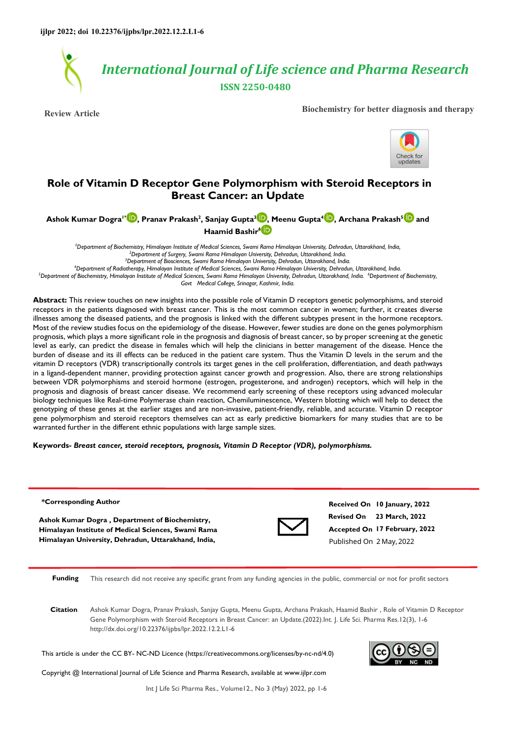

**Review Article Biochemistry for better diagnosis and therapy**



# **Role of Vitamin D Receptor Gene Polymorphism with Steroid Receptors in Breast Cancer: an Update**

**Ashok Kumar Dogra1\* [,](https://orcid.org/0000-0001-5523-9244) Pranav Prakash<sup>2</sup> , Sanjay Gupta[3](https://orcid.org/https://orcid.org/) , Meenu Gupta<sup>4</sup> [,](https://orcid.org/0000-0002-0479-9193) Archana Prakash<sup>5</sup> and Haamid Bashir6**

*Department of Biochemistry, Himalayan Institute of Medical Sciences, Swami Rama Himalayan University, Dehradun, Uttarakhand, India, Department of Surgery, Swami Rama Himalayan University, Dehradun, Uttarakhand, India. Department of Biosciences, Swami Rama Himalayan University, Dehradun, Uttarakhand, India. Department of Radiotherapy, Himalayan Institute of Medical Sciences, Swami Rama Himalayan University, Dehradun, Uttarakhand, India.* 

*<sup>5</sup>Department of Biochemistry, Himalayan Institute of Medical Sciences, Swami Rama Himalayan University, Dehradun, Uttarakhand, India. <sup>6</sup>Department of Biochemistry, Govt Medical College, Srinagar, Kashmir, India.* 

**Abstract:** This review touches on new insights into the possible role of Vitamin D receptors genetic polymorphisms, and steroid receptors in the patients diagnosed with breast cancer. This is the most common cancer in women; further, it creates diverse illnesses among the diseased patients, and the prognosis is linked with the different subtypes present in the hormone receptors. Most of the review studies focus on the epidemiology of the disease. However, fewer studies are done on the genes polymorphism prognosis, which plays a more significant role in the prognosis and diagnosis of breast cancer, so by proper screening at the genetic level as early, can predict the disease in females which will help the clinicians in better management of the disease. Hence the burden of disease and its ill effects can be reduced in the patient care system. Thus the Vitamin D levels in the serum and the vitamin D receptors (VDR) transcriptionally controls its target genes in the cell proliferation, differentiation, and death pathways in a ligand-dependent manner, providing protection against cancer growth and progression. Also, there are strong relationships between VDR polymorphisms and steroid hormone (estrogen, progesterone, and androgen) receptors, which will help in the prognosis and diagnosis of breast cancer disease. We recommend early screening of these receptors using advanced molecular biology techniques like Real-time Polymerase chain reaction, Chemiluminescence, Western blotting which will help to detect the genotyping of these genes at the earlier stages and are non-invasive, patient-friendly, reliable, and accurate. Vitamin D receptor gene polymorphism and steroid receptors themselves can act as early predictive biomarkers for many studies that are to be warranted further in the different ethnic populations with large sample sizes.

#### **Keywords-** *Breast cancer, steroid receptors, prognosis, Vitamin D Receptor (VDR), polymorphisms.*

#### **\*Corresponding Author**

**Ashok Kumar Dogra , Department of Biochemistry, Himalayan Institute of Medical Sciences, Swami Rama Himalayan University, Dehradun, Uttarakhand, India,**



**Revised On 23 March, 2022 Accepted On 17 February, 2022 Received On 10 January, 2022** Published On 2 May,2022

**Funding** This research did not receive any specific grant from any funding agencies in the public, commercial or not for profit sectors

**Citation** Ashok Kumar Dogra, Pranav Prakash, Sanjay Gupta, Meenu Gupta, Archana Prakash, Haamid Bashir , Role of Vitamin D Receptor Gene Polymorphism with Steroid Receptors in Breast Cancer: an Update.(2022).Int. J. Life Sci. Pharma Res.12(3), 1-6 http://dx.doi.org/10.22376/ijpbs/lpr.2022.12.2.L1-6

This article is under the CC BY- NC-ND Licence (https://creativecommons.org/licenses/by-nc-nd/4.0)

Copyright @ International Journal of Life Science and Pharma Research, available at www.ijlpr.com



Int J Life Sci Pharma Res., Volume12., No 3 (May) 2022, pp 1-6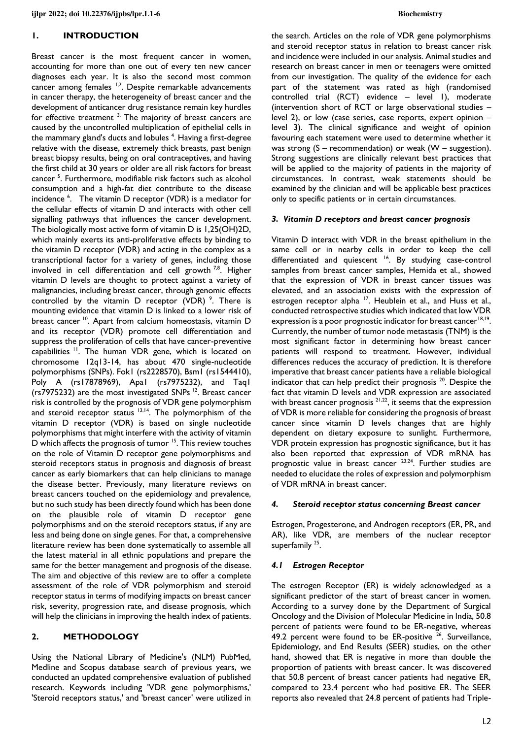### **1. INTRODUCTION**

Breast cancer is the most frequent cancer in women, accounting for more than one out of every ten new cancer diagnoses each year. It is also the second most common cancer among females <sup>1,2</sup>. Despite remarkable advancements in cancer therapy, the heterogeneity of breast cancer and the development of anticancer drug resistance remain key hurdles for effective treatment <sup>3.</sup> The majority of breast cancers are caused by the uncontrolled multiplication of epithelial cells in the mammary gland's ducts and lobules <sup>4</sup>. Having a first-degree relative with the disease, extremely thick breasts, past benign breast biopsy results, being on oral contraceptives, and having the first child at 30 years or older are all risk factors for breast cancer<sup>5</sup>. Furthermore, modifiable risk factors such as alcohol consumption and a high-fat diet contribute to the disease incidence <sup>6</sup>. The vitamin D receptor (VDR) is a mediator for the cellular effects of vitamin D and interacts with other cell signalling pathways that influences the cancer development. The biologically most active form of vitamin D is 1,25(OH)2D, which mainly exerts its anti-proliferative effects by binding to the vitamin D receptor (VDR) and acting in the complex as a transcriptional factor for a variety of genes, including those involved in cell differentiation and cell growth<sup>7,8</sup>. Higher vitamin D levels are thought to protect against a variety of malignancies, including breast cancer, through genomic effects controlled by the vitamin D receptor (VDR)<sup>9</sup>. There is mounting evidence that vitamin D is linked to a lower risk of breast cancer<sup>10</sup>. Apart from calcium homeostasis, vitamin D and its receptor (VDR) promote cell differentiation and suppress the proliferation of cells that have cancer-preventive capabilities<sup>11</sup>. The human VDR gene, which is located on chromosome 12q13-14, has about 470 single-nucleotide polymorphisms (SNPs). Fok1 (rs2228570), Bsm1 (rs1544410), Poly A (rs17878969), Apa1 (rs7975232), and Taq1 ( $rs7975232$ ) are the most investigated SNPs<sup>12</sup>. Breast cancer risk is controlled by the prognosis of VDR gene polymorphism and steroid receptor status <sup>13,14</sup>. The polymorphism of the vitamin D receptor (VDR) is based on single nucleotide polymorphisms that might interfere with the activity of vitamin D which affects the prognosis of tumor <sup>15</sup>. This review touches on the role of Vitamin D receptor gene polymorphisms and steroid receptors status in prognosis and diagnosis of breast cancer as early biomarkers that can help clinicians to manage the disease better. Previously, many literature reviews on breast cancers touched on the epidemiology and prevalence, but no such study has been directly found which has been done on the plausible role of vitamin D receptor gene polymorphisms and on the steroid receptors status, if any are less and being done on single genes. For that, a comprehensive literature review has been done systematically to assemble all the latest material in all ethnic populations and prepare the same for the better management and prognosis of the disease. The aim and objective of this review are to offer a complete assessment of the role of VDR polymorphism and steroid receptor status in terms of modifying impacts on breast cancer risk, severity, progression rate, and disease prognosis, which will help the clinicians in improving the health index of patients.

### **2. METHODOLOGY**

Using the National Library of Medicine's (NLM) PubMed, Medline and Scopus database search of previous years, we conducted an updated comprehensive evaluation of published research. Keywords including 'VDR gene polymorphisms,' 'Steroid receptors status,' and 'breast cancer' were utilized in the search. Articles on the role of VDR gene polymorphisms and steroid receptor status in relation to breast cancer risk and incidence were included in our analysis. Animal studies and research on breast cancer in men or teenagers were omitted from our investigation. The quality of the evidence for each part of the statement was rated as high (randomised controlled trial (RCT) evidence – level 1), moderate (intervention short of RCT or large observational studies – level 2), or low (case series, case reports, expert opinion – level 3). The clinical significance and weight of opinion favouring each statement were used to determine whether it was strong  $(S - recommandation)$  or weak  $(W - suggestion)$ . Strong suggestions are clinically relevant best practices that will be applied to the majority of patients in the majority of circumstances. In contrast, weak statements should be examined by the clinician and will be applicable best practices only to specific patients or in certain circumstances.

#### *3. Vitamin D receptors and breast cancer prognosis*

Vitamin D interact with VDR in the breast epithelium in the same cell or in nearby cells in order to keep the cell differentiated and quiescent <sup>16</sup>. By studying case-control samples from breast cancer samples, Hemida et al., showed that the expression of VDR in breast cancer tissues was elevated, and an association exists with the expression of estrogen receptor alpha<sup>17</sup>. Heublein et al., and Huss et al., conducted retrospective studies which indicated that low VDR expression is a poor prognostic indicator for breast cancer $18,19$ . Currently, the number of tumor node metastasis (TNM) is the most significant factor in determining how breast cancer patients will respond to treatment. However, individual differences reduces the accuracy of prediction. It is therefore imperative that breast cancer patients have a reliable biological indicator that can help predict their prognosis  $^{20}$ . Despite the fact that vitamin D levels and VDR expression are associated with breast cancer prognosis  $2^{1,22}$ , it seems that the expression of VDR is more reliable for considering the prognosis of breast cancer since vitamin D levels changes that are highly dependent on dietary exposure to sunlight. Furthermore, VDR protein expression has prognostic significance, but it has also been reported that expression of VDR mRNA has prognostic value in breast cancer <sup>23,24</sup>. Further studies are needed to elucidate the roles of expression and polymorphism of VDR mRNA in breast cancer.

#### *4. Steroid receptor status concerning Breast cancer*

Estrogen, Progesterone, and Androgen receptors (ER, PR, and AR), like VDR, are members of the nuclear receptor superfamily <sup>25</sup>.

#### *4.1 Estrogen Receptor*

The estrogen Receptor (ER) is widely acknowledged as a significant predictor of the start of breast cancer in women. According to a survey done by the Department of Surgical Oncology and the Division of Molecular Medicine in India, 50.8 percent of patients were found to be ER-negative, whereas 49.2 percent were found to be ER-positive  $26$ . Surveillance, Epidemiology, and End Results (SEER) studies, on the other hand, showed that ER is negative in more than double the proportion of patients with breast cancer. It was discovered that 50.8 percent of breast cancer patients had negative ER, compared to 23.4 percent who had positive ER. The SEER reports also revealed that 24.8 percent of patients had Triple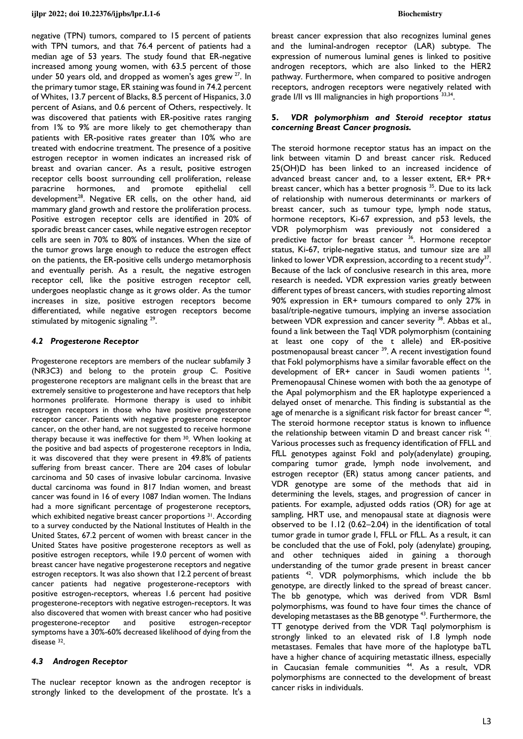negative (TPN) tumors, compared to 15 percent of patients with TPN tumors, and that 76.4 percent of patients had a median age of 53 years. The study found that ER-negative increased among young women, with 63.5 percent of those under 50 years old, and dropped as women's ages grew  $27$ . In the primary tumor stage, ER staining was found in 74.2 percent of Whites, 13.7 percent of Blacks, 8.5 percent of Hispanics, 3.0 percent of Asians, and 0.6 percent of Others, respectively. It was discovered that patients with ER-positive rates ranging from 1% to 9% are more likely to get chemotherapy than patients with ER-positive rates greater than 10% who are treated with endocrine treatment. The presence of a positive estrogen receptor in women indicates an increased risk of breast and ovarian cancer. As a result, positive estrogen receptor cells boost surrounding cell proliferation, release paracrine hormones, and promote epithelial cell development<sup>28</sup>. Negative ER cells, on the other hand, aid mammary gland growth and restore the proliferation process. Positive estrogen receptor cells are identified in 20% of sporadic breast cancer cases, while negative estrogen receptor cells are seen in 70% to 80% of instances. When the size of the tumor grows large enough to reduce the estrogen effect on the patients, the ER-positive cells undergo metamorphosis and eventually perish. As a result, the negative estrogen receptor cell, like the positive estrogen receptor cell, undergoes neoplastic change as it grows older. As the tumor increases in size, positive estrogen receptors become differentiated, while negative estrogen receptors become stimulated by mitogenic signaling<sup>29</sup>.

## *4.2 Progesterone Receptor*

Progesterone receptors are members of the nuclear subfamily 3 (NR3C3) and belong to the protein group C. Positive progesterone receptors are malignant cells in the breast that are extremely sensitive to progesterone and have receptors that help hormones proliferate. Hormone therapy is used to inhibit estrogen receptors in those who have positive progesterone receptor cancer. Patients with negative progesterone receptor cancer, on the other hand, are not suggested to receive hormone therapy because it was ineffective for them 30. When looking at the positive and bad aspects of progesterone receptors in India, it was discovered that they were present in 49.8% of patients suffering from breast cancer. There are 204 cases of lobular carcinoma and 50 cases of invasive lobular carcinoma. Invasive ductal carcinoma was found in 817 Indian women, and breast cancer was found in 16 of every 1087 Indian women. The Indians had a more significant percentage of progesterone receptors, which exhibited negative breast cancer proportions <sup>31</sup>. According to a survey conducted by the National Institutes of Health in the United States, 67.2 percent of women with breast cancer in the United States have positive progesterone receptors as well as positive estrogen receptors, while 19.0 percent of women with breast cancer have negative progesterone receptors and negative estrogen receptors. It was also shown that 12.2 percent of breast cancer patients had negative progesterone-receptors with positive estrogen-receptors, whereas 1.6 percent had positive progesterone-receptors with negative estrogen-receptors. It was also discovered that women with breast cancer who had positive progesterone-receptor and positive estrogen-receptor symptoms have a 30%-60% decreased likelihood of dying from the disease 32.

### *4.3 Androgen Receptor*

The nuclear receptor known as the androgen receptor is strongly linked to the development of the prostate. It's a

breast cancer expression that also recognizes luminal genes and the luminal-androgen receptor (LAR) subtype. The expression of numerous luminal genes is linked to positive androgen receptors, which are also linked to the HER2 pathway. Furthermore, when compared to positive androgen receptors, androgen receptors were negatively related with grade I/II vs III malignancies in high proportions 33,34.

### **5.** *VDR polymorphism and Steroid receptor status concerning Breast Cancer prognosis.*

The steroid hormone receptor status has an impact on the link between vitamin D and breast cancer risk. Reduced 25(OH)D has been linked to an increased incidence of advanced breast cancer and, to a lesser extent, ER+ PR+ breast cancer, which has a better prognosis<sup>35</sup>. Due to its lack of relationship with numerous determinants or markers of breast cancer, such as tumour type, lymph node status, hormone receptors, Ki-67 expression, and p53 levels, the VDR polymorphism was previously not considered a predictive factor for breast cancer <sup>36</sup>. Hormone receptor status, Ki-67, triple-negative status, and tumour size are all linked to lower VDR expression, according to a recent study<sup>37</sup>. Because of the lack of conclusive research in this area, more research is needed**.** VDR expression varies greatly between different types of breast cancers, with studies reporting almost 90% expression in ER+ tumours compared to only 27% in basal/triple-negative tumours, implying an inverse association between VDR expression and cancer severity <sup>38</sup>. Abbas et al., found a link between the TaqI VDR polymorphism (containing at least one copy of the t allele) and ER-positive postmenopausal breast cancer <sup>39</sup>. A recent investigation found that FokI polymorphisms have a similar favorable effect on the development of ER+ cancer in Saudi women patients <sup>14</sup>. Premenopausal Chinese women with both the aa genotype of the ApaI polymorphism and the ER haplotype experienced a delayed onset of menarche. This finding is substantial as the age of menarche is a significant risk factor for breast cancer <sup>40</sup>. The steroid hormone receptor status is known to influence the relationship between vitamin  $D$  and breast cancer risk  $41$ Various processes such as frequency identification of FFLL and FfLL genotypes against FokI and poly(adenylate) grouping, comparing tumor grade, lymph node involvement, and estrogen receptor (ER) status among cancer patients, and VDR genotype are some of the methods that aid in determining the levels, stages, and progression of cancer in patients. For example, adjusted odds ratios (OR) for age at sampling, HRT use, and menopausal state at diagnosis were observed to be 1.12 (0.62–2.04) in the identification of total tumor grade in tumor grade I, FFLL or FfLL. As a result, it can be concluded that the use of FokI, poly (adenylate) grouping, and other techniques aided in gaining a thorough understanding of the tumor grade present in breast cancer patients <sup>42</sup>. VDR polymorphisms, which include the bb genotype, are directly linked to the spread of breast cancer. The bb genotype, which was derived from VDR BsmI polymorphisms, was found to have four times the chance of developing metastases as the BB genotype<sup>43</sup>. Furthermore, the TT genotype derived from the VDR TaqI polymorphism is strongly linked to an elevated risk of 1.8 lymph node metastases. Females that have more of the haplotype baTL have a higher chance of acquiring metastatic illness, especially in Caucasian female communities <sup>44</sup>. As a result, VDR polymorphisms are connected to the development of breast cancer risks in individuals.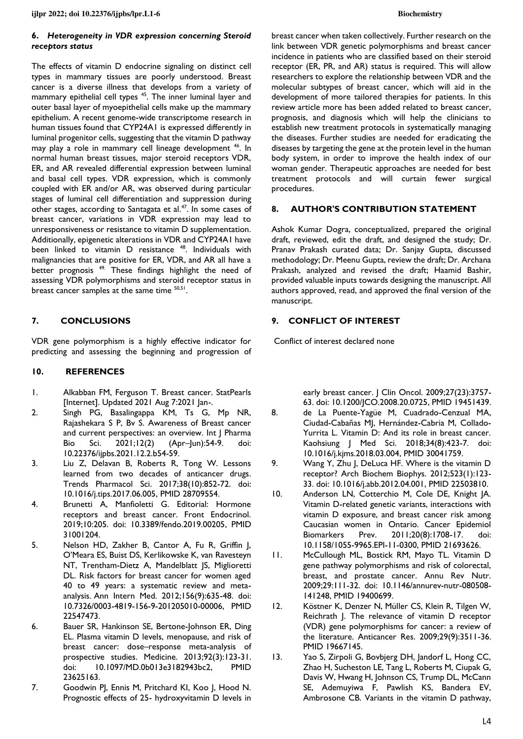**ijlpr 2022; doi 10.22376/ijpbs/lpr.L1-6 Biochemistry** 

## **6.** *Heterogeneity in VDR expression concerning Steroid receptors status*

The effects of vitamin D endocrine signaling on distinct cell types in mammary tissues are poorly understood. Breast cancer is a diverse illness that develops from a variety of mammary epithelial cell types<sup>45</sup>. The inner luminal layer and outer basal layer of myoepithelial cells make up the mammary epithelium. A recent genome-wide transcriptome research in human tissues found that CYP24A1 is expressed differently in luminal progenitor cells, suggesting that the vitamin D pathway may play a role in mammary cell lineage development <sup>46</sup>. In normal human breast tissues, major steroid receptors VDR, ER, and AR revealed differential expression between luminal and basal cell types. VDR expression, which is commonly coupled with ER and/or AR, was observed during particular stages of luminal cell differentiation and suppression during other stages, according to Santagata et al.<sup>47</sup>. In some cases of breast cancer, variations in VDR expression may lead to unresponsiveness or resistance to vitamin D supplementation. Additionally, epigenetic alterations in VDR and CYP24A1 have been linked to vitamin D resistance <sup>48</sup>. Individuals with malignancies that are positive for ER, VDR, and AR all have a better prognosis <sup>49.</sup> These findings highlight the need of assessing VDR polymorphisms and steroid receptor status in breast cancer samples at the same time  $50,51$ .

## **7. CONCLUSIONS**

VDR gene polymorphism is a highly effective indicator for predicting and assessing the beginning and progression of

## **10. REFERENCES**

- 1. Alkabban FM, Ferguson T. Breast cancer. StatPearls [Internet]. Updated 2021 Aug 7:2021 Jan-.
- 2. Singh PG, Basalingappa KM, Ts G, Mp NR, Rajashekara S P, Bv S. Awareness of Breast cancer and current perspectives: an overview. Int | Pharma Bio Sci. 2021;12(2) (Apr-Jun):54-9. [10.22376/ijpbs.2021.12.2.b54-59.](https://doi.org/10.22376/ijpbs.2021.12.2.b54-59)
- 3. Liu Z, Delavan B, Roberts R, Tong W. Lessons learned from two decades of anticancer drugs. Trends Pharmacol Sci. 2017;38(10):852-72. doi: [10.1016/j.tips.2017.06.005,](https://doi.org/10.1016/j.tips.2017.06.005) PMID [28709554.](https://www.ncbi.nlm.nih.gov/pubmed/28709554)
- 4. Brunetti A, Manfioletti G. Editorial: Hormone receptors and breast cancer. Front Endocrinol. 2019;10:205. doi: [10.3389/fendo.2019.00205,](https://doi.org/10.3389/fendo.2019.00205) PMID [31001204.](https://www.ncbi.nlm.nih.gov/pubmed/31001204)
- 5. Nelson HD, Zakher B, Cantor A, Fu R, Griffin J, O'Meara ES, Buist DS, Kerlikowske K, van Ravesteyn NT, Trentham-Dietz A, Mandelblatt JS, Miglioretti DL. Risk factors for breast cancer for women aged 40 to 49 years: a systematic review and metaanalysis. Ann Intern Med. 2012;156(9):635-48. doi: [10.7326/0003-4819-156-9-201205010-00006,](https://doi.org/10.7326/0003-4819-156-9-201205010-00006) PMID [22547473.](https://www.ncbi.nlm.nih.gov/pubmed/22547473)
- 6. Bauer SR, Hankinson SE, Bertone-Johnson ER, Ding EL. Plasma vitamin D levels, menopause, and risk of breast cancer: dose–response meta-analysis of prospective studies. Medicine. 2013;92(3):123-31. doi: [10.1097/MD.0b013e3182943bc2,](https://doi.org/10.1097/MD.0b013e3182943bc2) PMID [23625163.](https://www.ncbi.nlm.nih.gov/pubmed/23625163)
- 7. Goodwin PJ, Ennis M, Pritchard KI, Koo J, Hood N. Prognostic effects of 25- hydroxyvitamin D levels in

breast cancer when taken collectively. Further research on the link between VDR genetic polymorphisms and breast cancer incidence in patients who are classified based on their steroid receptor (ER, PR, and AR) status is required. This will allow researchers to explore the relationship between VDR and the molecular subtypes of breast cancer, which will aid in the development of more tailored therapies for patients. In this review article more has been added related to breast cancer, prognosis, and diagnosis which will help the clinicians to establish new treatment protocols in systematically managing the diseases. Further studies are needed for eradicating the diseases by targeting the gene at the protein level in the human body system, in order to improve the health index of our woman gender. Therapeutic approaches are needed for best treatment protocols and will curtain fewer surgical procedures.

## **8. AUTHOR'S CONTRIBUTION STATEMENT**

Ashok Kumar Dogra, conceptualized, prepared the original draft, reviewed, edit the draft, and designed the study; Dr. Pranav Prakash curated data; Dr. Sanjay Gupta, discussed methodology; Dr. Meenu Gupta, review the draft; Dr. Archana Prakash, analyzed and revised the draft; Haamid Bashir, provided valuable inputs towards designing the manuscript. All authors approved, read, and approved the final version of the manuscript.

## **9. CONFLICT OF INTEREST**

Conflict of interest declared none

early breast cancer. | Clin Oncol. 2009;27(23):3757-63. doi: [10.1200/JCO.2008.20.0725,](https://doi.org/10.1200/JCO.2008.20.0725) PMID [19451439.](https://www.ncbi.nlm.nih.gov/pubmed/19451439)

- 8. de La Puente-Yagüe M, Cuadrado-Cenzual MA, Ciudad-Cabañas MJ, Hernández-Cabria M, Collado-Yurrita L. Vitamin D: And its role in breast cancer. Kaohsiung J Med Sci. 2018;34(8):423-7. doi: [10.1016/j.kjms.2018.03.004,](https://doi.org/10.1016/j.kjms.2018.03.004) PMID [30041759.](https://www.ncbi.nlm.nih.gov/pubmed/30041759)
- 9. Wang Y, Zhu J, DeLuca HF. Where is the vitamin D receptor? Arch Biochem Biophys. 2012;523(1):123- 33. doi: [10.1016/j.abb.2012.04.001,](https://doi.org/10.1016/j.abb.2012.04.001) PMID [22503810.](https://www.ncbi.nlm.nih.gov/pubmed/22503810)
- 10. Anderson LN, Cotterchio M, Cole DE, Knight JA. Vitamin D-related genetic variants, interactions with vitamin D exposure, and breast cancer risk among Caucasian women in Ontario. Cancer Epidemiol Biomarkers Prev. 2011;20(8):1708-17. doi: [10.1158/1055-9965.EPI-11-0300,](https://doi.org/10.1158/1055-9965.EPI-11-0300) PMID [21693626.](https://www.ncbi.nlm.nih.gov/pubmed/21693626)
- 11. McCullough ML, Bostick RM, Mayo TL. Vitamin D gene pathway polymorphisms and risk of colorectal, breast, and prostate cancer. Annu Rev Nutr. 2009;29:111-32. doi: [10.1146/annurev-nutr-080508-](https://doi.org/10.1146/annurev-nutr-080508-141248) [141248,](https://doi.org/10.1146/annurev-nutr-080508-141248) PMID [19400699.](https://www.ncbi.nlm.nih.gov/pubmed/19400699)
- 12. Köstner K, Denzer N, Müller CS, Klein R, Tilgen W, Reichrath J. The relevance of vitamin D receptor (VDR) gene polymorphisms for cancer: a review of the literature. Anticancer Res. 2009;29(9):3511-36. PMID [19667145.](https://www.ncbi.nlm.nih.gov/pubmed/19667145)
- 13. Yao S, Zirpoli G, Bovbjerg DH, Jandorf L, Hong CC, Zhao H, Sucheston LE, Tang L, Roberts M, Ciupak G, Davis W, Hwang H, Johnson CS, Trump DL, McCann SE, Ademuyiwa F, Pawlish KS, Bandera EV, Ambrosone CB. Variants in the vitamin D pathway,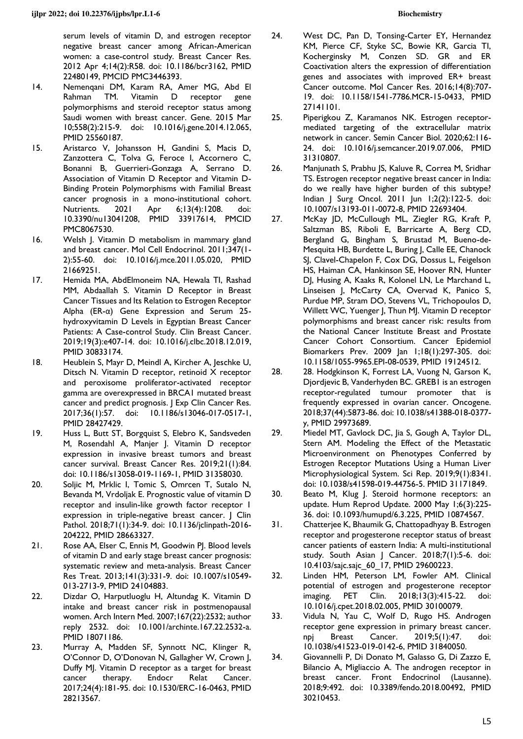serum levels of vitamin D, and estrogen receptor negative breast cancer among African-American women: a case-control study. Breast Cancer Res. 2012 Apr 4;14(2):R58. doi: [10.1186/bcr3162,](https://doi.org/10.1186/bcr3162) PMID [22480149,](http://www.ncbi.nlm.nih.gov/pubmed/22480149) PMCID [PMC3446393.](https://www.ncbi.nlm.nih.gov/pmc/articles/PMC3446393)

- 14. Nemenqani DM, Karam RA, Amer MG, Abd El Rahman TM. Vitamin D receptor gene polymorphisms and steroid receptor status among Saudi women with breast cancer. Gene. 2015 Mar 10;558(2):215-9. doi: [10.1016/j.gene.2014.12.065,](https://doi.org/10.1016/j.gene.2014.12.065) PMID [25560187.](https://www.ncbi.nlm.nih.gov/pubmed/25560187)
- 15. Aristarco V, Johansson H, Gandini S, Macis D, Zanzottera C, Tolva G, Feroce I, Accornero C, Bonanni B, Guerrieri-Gonzaga A, Serrano D. Association of Vitamin D Receptor and Vitamin D-Binding Protein Polymorphisms with Familial Breast cancer prognosis in a mono-institutional cohort. Nutrients. 2021 Apr 6;13(4):1208. doi: [10.3390/nu13041208,](https://doi.org/10.3390/nu13041208) PMID [33917614,](http://www.ncbi.nlm.nih.gov/pubmed/33917614) PMCID [PMC8067530.](https://www.ncbi.nlm.nih.gov/pmc/articles/PMC8067530)
- 16. Welsh J. Vitamin D metabolism in mammary gland and breast cancer. Mol Cell Endocrinol. 2011;347(1- 2):55-60. doi: [10.1016/j.mce.2011.05.020,](https://doi.org/10.1016/j.mce.2011.05.020) PMID [21669251.](https://www.ncbi.nlm.nih.gov/pubmed/21669251)
- 17. Hemida MA, AbdElmoneim NA, Hewala TI, Rashad MM, Abdaallah S. Vitamin D Receptor in Breast Cancer Tissues and Its Relation to Estrogen Receptor Alpha (ER-α) Gene Expression and Serum 25 hydroxyvitamin D Levels in Egyptian Breast Cancer Patients: A Case-control Study. Clin Breast Cancer. 2019;19(3):e407-14. doi: [10.1016/j.clbc.2018.12.019,](https://doi.org/10.1016/j.clbc.2018.12.019) PMID [30833174.](https://www.ncbi.nlm.nih.gov/pubmed/30833174)
- 18. Heublein S, Mayr D, Meindl A, Kircher A, Jeschke U, Ditsch N. Vitamin D receptor, retinoid X receptor and peroxisome proliferator-activated receptor gamma are overexpressed in BRCA1 mutated breast cancer and predict prognosis. J Exp Clin Cancer Res. 2017;36(1):57. doi: [10.1186/s13046-017-0517-1,](https://doi.org/10.1186/s13046-017-0517-1) PMID [28427429.](https://www.ncbi.nlm.nih.gov/pubmed/28427429)
- 19. Huss L, Butt ST, Borgquist S, Elebro K, Sandsveden M, Rosendahl A, Manjer J. Vitamin D receptor expression in invasive breast tumors and breast cancer survival. Breast Cancer Res. 2019;21(1):84. doi: [10.1186/s13058-019-1169-1,](https://doi.org/10.1186/s13058-019-1169-1) PMID [31358030.](https://www.ncbi.nlm.nih.gov/pubmed/31358030)
- 20. Soljic M, Mrklic I, Tomic S, Omrcen T, Sutalo N, Bevanda M, Vrdoljak E. Prognostic value of vitamin D receptor and insulin-like growth factor receptor 1 expression in triple-negative breast cancer. | Clin Pathol. 2018;71(1):34-9. doi: [10.1136/jclinpath-2016-](https://doi.org/10.1136/jclinpath-2016-204222) [204222,](https://doi.org/10.1136/jclinpath-2016-204222) PMID [28663327.](https://www.ncbi.nlm.nih.gov/pubmed/28663327)
- 21. Rose AA, Elser C, Ennis M, Goodwin PJ. Blood levels of vitamin D and early stage breast cancer prognosis: systematic review and meta-analysis. Breast Cancer Res Treat. 2013;141(3):331-9. doi: [10.1007/s10549-](https://doi.org/10.1007/s10549-013-2713-9) [013-2713-9,](https://doi.org/10.1007/s10549-013-2713-9) PMID [24104883.](https://www.ncbi.nlm.nih.gov/pubmed/24104883)
- 22. Dizdar O, Harputluoglu H, Altundag K. Vitamin D intake and breast cancer risk in postmenopausal women. Arch Intern Med. 2007;167(22):2532; author reply 2532. doi: [10.1001/archinte.167.22.2532-a.](https://doi.org/10.1001/archinte.167.22.2532-a) PMID [18071186.](https://www.ncbi.nlm.nih.gov/pubmed/18071186)
- 23. Murray A, Madden SF, Synnott NC, Klinger R, O'Connor D, O'Donovan N, Gallagher W, Crown J, Duffy MJ. Vitamin D receptor as a target for breast cancer therapy. Endocr Relat Cancer. 2017;24(4):181-95. doi: [10.1530/ERC-16-0463,](https://doi.org/10.1530/ERC-16-0463) PMID [28213567.](https://www.ncbi.nlm.nih.gov/pubmed/28213567)
- 24. West DC, Pan D, Tonsing-Carter EY, Hernandez KM, Pierce CF, Styke SC, Bowie KR, Garcia TI, Kocherginsky M, Conzen SD. GR and ER Coactivation alters the expression of differentiation genes and associates with improved ER+ breast Cancer outcome. Mol Cancer Res. 2016;14(8):707- 19. doi: [10.1158/1541-7786.MCR-15-0433,](https://doi.org/10.1158/1541-7786.MCR-15-0433) PMID [27141101.](https://www.ncbi.nlm.nih.gov/pubmed/27141101)
- 25. Piperigkou Z, Karamanos NK. Estrogen receptormediated targeting of the extracellular matrix network in cancer. Semin Cancer Biol. 2020;62:116- 24. doi: [10.1016/j.semcancer.2019.07.006,](https://doi.org/10.1016/j.semcancer.2019.07.006) PMID [31310807.](https://www.ncbi.nlm.nih.gov/pubmed/31310807)
- 26. Manjunath S, Prabhu JS, Kaluve R, Correa M, Sridhar TS. Estrogen receptor negative breast cancer in India: do we really have higher burden of this subtype? Indian J Surg Oncol. 2011 Jun 1;2(2):122-5. doi: [10.1007/s13193-011-0072-8,](https://doi.org/10.1007/s13193-011-0072-8) PMID [22693404.](https://www.ncbi.nlm.nih.gov/pubmed/22693404)
- 27. McKay JD, McCullough ML, Ziegler RG, Kraft P, Saltzman BS, Riboli E, Barricarte A, Berg CD, Bergland G, Bingham S, Brustad M, Bueno-de-Mesquita HB, Burdette L, Buring J, Calle EE, Chanock SJ, Clavel-Chapelon F, Cox DG, Dossus L, Feigelson HS, Haiman CA, Hankinson SE, Hoover RN, Hunter DJ, Husing A, Kaaks R, Kolonel LN, Le Marchand L, Linseisen J, McCarty CA, Overvad K, Panico S, Purdue MP, Stram DO, Stevens VL, Trichopoulos D, Willett WC, Yuenger J, Thun MJ. Vitamin D receptor polymorphisms and breast cancer risk: results from the National Cancer Institute Breast and Prostate Cancer Cohort Consortium. Cancer Epidemiol Biomarkers Prev. 2009 Jan 1;18(1):297-305. doi: [10.1158/1055-9965.EPI-08-0539,](https://doi.org/10.1158/1055-9965.EPI-08-0539) PMID [19124512.](https://www.ncbi.nlm.nih.gov/pubmed/19124512)
- 28. 28. Hodgkinson K, Forrest LA, Vuong N, Garson K, Djordjevic B, Vanderhyden BC. GREB1 is an estrogen receptor-regulated tumour promoter that is frequently expressed in ovarian cancer. Oncogene. 2018;37(44):5873-86. doi[: 10.1038/s41388-018-0377](https://doi.org/10.1038/s41388-018-0377-y) [y,](https://doi.org/10.1038/s41388-018-0377-y) PMID [29973689.](https://www.ncbi.nlm.nih.gov/pubmed/29973689)
- 29. Miedel MT, Gavlock DC, Jia S, Gough A, Taylor DL, Stern AM. Modeling the Effect of the Metastatic Microenvironment on Phenotypes Conferred by Estrogen Receptor Mutations Using a Human Liver Microphysiological System. Sci Rep. 2019;9(1):8341. doi: [10.1038/s41598-019-44756-5.](https://doi.org/10.1038/s41598-019-44756-5) PMID [31171849.](https://www.ncbi.nlm.nih.gov/pubmed/31171849)
- 30. Beato M, Klug J. Steroid hormone receptors: an update. Hum Reprod Update. 2000 May 1;6(3):225- 36. doi: [10.1093/humupd/6.3.225,](https://doi.org/10.1093/humupd/6.3.225) PMID [10874567.](https://www.ncbi.nlm.nih.gov/pubmed/10874567)
- 31. Chatterjee K, Bhaumik G, Chattopadhyay B. Estrogen receptor and progesterone receptor status of breast cancer patients of eastern India: A multi-institutional study. South Asian | Cancer. 2018;7(1):5-6. doi: [10.4103/sajc.sajc\\_60\\_17,](https://doi.org/10.4103/sajc.sajc_60_17) PMID [29600223.](https://www.ncbi.nlm.nih.gov/pubmed/29600223)
- 32. Linden HM, Peterson LM, Fowler AM. Clinical potential of estrogen and progesterone receptor imaging. PET Clin. 2018;13(3):415-22. doi: [10.1016/j.cpet.2018.02.005,](https://doi.org/10.1016/j.cpet.2018.02.005) PMID [30100079.](https://www.ncbi.nlm.nih.gov/pubmed/30100079)
- 33. Vidula N, Yau C, Wolf D, Rugo HS. Androgen receptor gene expression in primary breast cancer. npj Breast Cancer. 2019;5(1):47. doi: [10.1038/s41523-019-0142-6,](https://doi.org/10.1038/s41523-019-0142-6) PMID [31840050.](https://www.ncbi.nlm.nih.gov/pubmed/31840050)
- 34. Giovannelli P, Di Donato M, Galasso G, Di Zazzo E, Bilancio A, Migliaccio A. The androgen receptor in breast cancer. Front Endocrinol (Lausanne). 2018;9:492. doi: [10.3389/fendo.2018.00492,](https://doi.org/10.3389/fendo.2018.00492) PMID [30210453.](https://www.ncbi.nlm.nih.gov/pubmed/30210453)